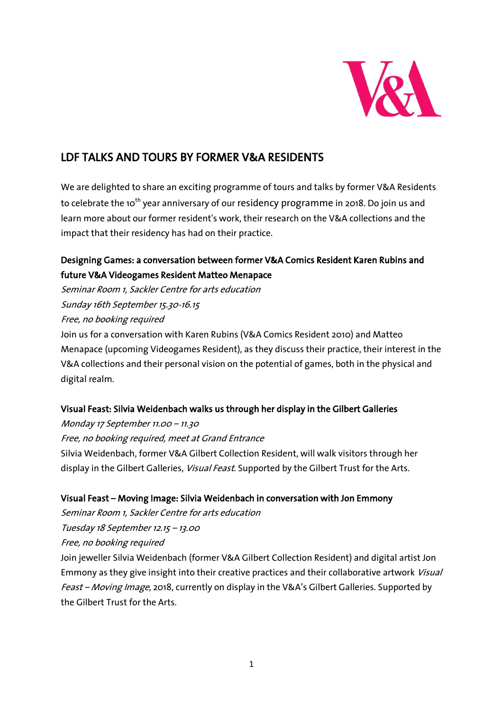

# LDF TALKS AND TOURS BY FORMER V&A RESIDENTS

We are delighted to share an exciting programme of tours and talks by former V&A Residents to celebrate the 10<sup>th</sup> year anniversary of our [residency programme](https://www.vam.ac.uk/info/museum-residency-programme) in 2018. Do join us and learn more about our former resident's work, their research on the V&A collections and the impact that their residency has had on their practice.

# [Designing Games: a conversation between former V&A Comics Resident Karen Rubins and](https://www.vam.ac.uk/event/l3Qel73w/ldf-2018-designing-games-a-conversation)  [future V&A Videogames Resident Matteo Menapace](https://www.vam.ac.uk/event/l3Qel73w/ldf-2018-designing-games-a-conversation)

Seminar Room 1, Sackler Centre for arts education Sunday 16th September 15.30-16.15 Free, no booking required

Join us for a conversation with [Karen Rubins \(V&A Comics Resident 2010\)](http://www.vam.ac.uk/content/articles/c/karen-rubins/) and Matteo Menapace (upcoming Videogames Resident), as they discuss their practice, their interest in the V&A collections and their personal vision on the potential of games, both in the physical and digital realm.

## [Visual Feast: Silvia Weidenbach walks us through her display in the Gilbert Galleries](https://www.vam.ac.uk/event/2vxoM5dN/ldf-2018-visual-feast-silvia-weidenbach-tour)

Monday 17 September 11.00 – 11.30 Free, no booking required, meet at Grand Entrance [Silvia Weidenbach,](https://www.vam.ac.uk/blog/museum-life/silvia-weidenbach-announced-as-the-first-va-gilbert-collection-resident) former V&A Gilbert Collection Resident, will walk visitors through her display in the Gilbert Galleries, [Visual Feast](https://www.vam.ac.uk/articles/visual-feast-by-silvia-weidenbach). Supported by the Gilbert Trust for the Arts.

## Visual Feast – [Moving Image: Silvia Weidenbach in conversation with Jon Emmony](https://www.vam.ac.uk/event/G61eQ36n/ldf-2018-silvia-weidenbach-in-conversation-with-jon-emmony)

Seminar Room 1, Sackler Centre for arts education

Tuesday 18 September 12.15 – 13.00

Free, no booking required

Join jeweller Silvia Weidenbach (former V&A Gilbert Collection Resident) and digital artist Jon Emmony as they give insight into their creative practices and their collaborative artwork *Visual* Feast – Moving Image, 2018, currently on display in the V&A's Gilbert Galleries. Supported by the Gilbert Trust for the Arts.